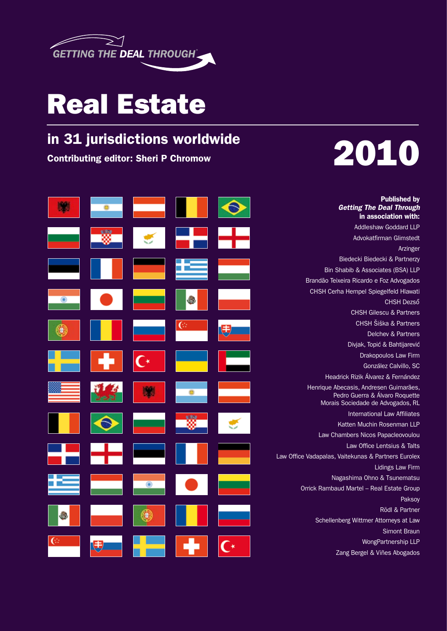

# Real Estate

# in 31 jurisdictions worldwide



# Contributing editor: Sheri P Chromow 2010 10

Published by *Getting The Deal Through* in association with: Addleshaw Goddard LLP

Advokatfirman Glimstedt Arzinger Biedecki Biedecki & Partnerzy Bin Shabib & Associates (BSA) LLP Brandão Teixeira Ricardo e Foz Advogados CHSH Cerha Hempel Spiegelfeld Hlawati CHSH Dezső CHSH Gilescu & Partners CHSH Šiška & Partners Delchev & Partners Divjak, Topić & Bahtijarević Drakopoulos Law Firm González Calvillo, SC Headrick Rizik Álvarez & Fernández Henrique Abecasis, Andresen Guimarães, Pedro Guerra & Álvaro Roquette Morais Sociedade de Advogados, RL International Law Affiliates Katten Muchin Rosenman LLP Law Chambers Nicos Papacleovoulou Law Office Lentsius & Talts Law Office Vadapalas, Vaitekunas & Partners Eurolex Lidings Law Firm Nagashima Ohno & Tsunematsu Orrick Rambaud Martel – Real Estate Group Paksoy Rödl & Partner Schellenberg Wittmer Attorneys at Law Simont Braun WongPartnership LLP

Zang Bergel & Viñes Abogados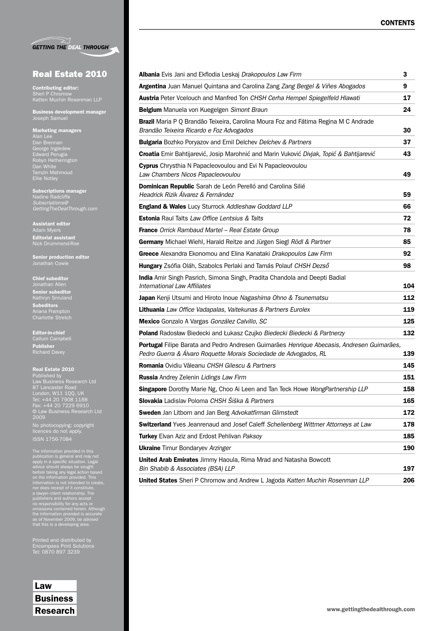|  | <b>GETTING THE DEAL THROUGH</b> |
|--|---------------------------------|

## Real Estate 2010

Contributing editor: Sheri P Chromow Katten Muchin Rosenman LLP

Business development manager

#### Marketing managers Alan Lee Dan Brennan George Ingledew Edward Perugia Robyn Hetherington

Tamzin Mahmoud Ellie Notley Subscriptions manager *Subscriptions@*

Assistant editor Editorial assistant

*GettingTheDealThrough.com*

Nick Drummond-Roe Senior production editor

### Chief subeditor

Jonathan Allen Senior subeditor Subeditors Charlotte Stretch

Editor-in-chief Callum Campbell Publisher Richard Davey

#### Real Estate 2010

Published by Law Business Research Ltd 87 Lancaster Road London, W11 1QQ, UK Tel: +44 20 7908 1188 Fax: +44 20 7229 6910 2009

No photocopying: copyright licences do not apply.

The information provided in this<br>publication is general and may not<br>apply in a specific situation. Legal<br>advice should always be sought<br>before taking any legal action based<br>on the information provided. This<br>information is

Printed and distributed by Encompass Print Solutions Tel: 0870 897 3239

Law **Business** 

| Albania Evis Jani and Ekflodia Leskaj Drakopoulos Law Firm                                                                                                     | З   |
|----------------------------------------------------------------------------------------------------------------------------------------------------------------|-----|
| Argentina Juan Manuel Quintana and Carolina Zang Zang Bergel & Viñes Abogados                                                                                  | 9   |
| <b>Austria</b> Peter Vcelouch and Manfred Ton CHSH Cerha Hempel Spiegelfeld Hlawati                                                                            | 17  |
| Belgium Manuela von Kuegelgen Simont Braun                                                                                                                     | 24  |
| Brazil Maria P Q Brandão Teixeira, Carolina Moura Foz and Fátima Regina M C Andrade<br>Brandão Teixeira Ricardo e Foz Advogados                                | 30  |
| <b>Bulgaria</b> Bozhko Poryazov and Emil Delchev Delchev & Partners                                                                                            | 37  |
| Croatia Emir Bahtijarević, Josip Marohnić and Marin Vuković Divjak, Topić & Bahtijarević                                                                       | 43  |
| Cyprus Chrysthia N Papacleovoulou and Evi N Papacleovoulou<br>Law Chambers Nicos Papacleovoulou                                                                | 49  |
| Dominican Republic Sarah de León Perelló and Carolina Silié<br>Headrick Rizik Álvarez & Fernández                                                              | 59  |
| <b>England &amp; Wales</b> Lucy Sturrock Addleshaw Goddard LLP                                                                                                 | 66  |
| <b>Estonia</b> Raul Talts Law Office Lentsius & Talts                                                                                                          | 72  |
| France Orrick Rambaud Martel - Real Estate Group                                                                                                               | 78  |
| <b>Germany</b> Michael Wiehl, Harald Reitze and Jürgen Siegl Rödl & Partner                                                                                    | 85  |
| Greece Alexandra Ekonomou and Elina Kanataki Drakopoulos Law Firm                                                                                              | 92  |
| Hungary Zsófia Oláh, Szabolcs Perlaki and Tamás Polauf CHSH Dezső                                                                                              | 98  |
| India Amir Singh Pasrich, Simona Singh, Pradita Chandola and Deepti Badial<br>International Law Affiliates                                                     | 104 |
| Japan Kenji Utsumi and Hiroto Inoue Nagashima Ohno & Tsunematsu                                                                                                | 112 |
| <b>Lithuania</b> Law Office Vadapalas, Vaitekunas & Partners Eurolex                                                                                           | 119 |
| Mexico Gonzalo A Vargas González Calvillo, SC                                                                                                                  | 125 |
| Poland Radosław Biedecki and Łukasz Czujko Biedecki Biedecki & Partnerzy                                                                                       | 132 |
| Portugal Filipe Barata and Pedro Andresen Guimarães Henrique Abecasis, Andresen Guimarães,<br>Pedro Guerra & Álvaro Roquette Morais Sociedade de Advogados, RL | 139 |
| Romania Ovidiu Văleanu CHSH Gilescu & Partners                                                                                                                 | 145 |
| <b>Russia</b> Andrey Zelenin Lidings Law Firm                                                                                                                  | 151 |
| Singapore Dorothy Marie Ng, Choo Ai Leen and Tan Teck Howe WongPartnership LLP                                                                                 | 158 |
| Slovakia Ladislav Poloma CHSH Šiška & Partners                                                                                                                 | 165 |
| Sweden Jan Litborn and Jan Berg Advokatfirman Glimstedt                                                                                                        | 172 |
| <b>Switzerland</b> Yves Jeanrenaud and Josef Caleff Schellenberg Wittmer Attorneys at Law                                                                      | 178 |
| Turkey Elvan Aziz and Erdost Pehlivan Paksoy                                                                                                                   | 185 |
| <b>Ukraine</b> Timur Bondaryev Arzinger                                                                                                                        | 190 |
| <b>United Arab Emirates</b> Jimmy Haoula, Rima Mrad and Natasha Bowcott                                                                                        |     |
| Bin Shabib & Associates (BSA) LLP                                                                                                                              | 197 |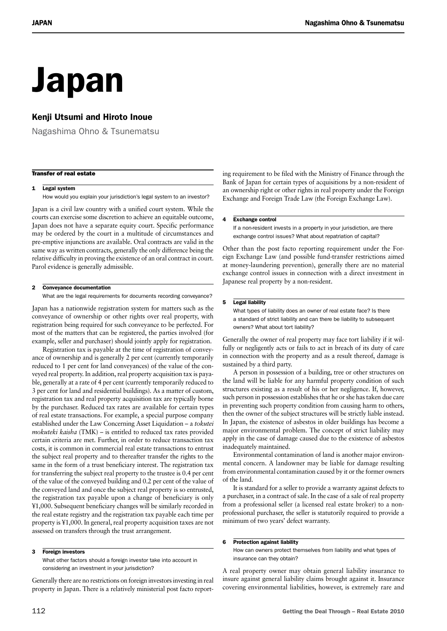# Japan

# Kenji Utsumi and Hiroto Inoue

Nagashima Ohno & Tsunematsu

#### Transfer of real estate

#### 1 Legal system

How would you explain your jurisdiction's legal system to an investor?

Japan is a civil law country with a unified court system. While the courts can exercise some discretion to achieve an equitable outcome, Japan does not have a separate equity court. Specific performance may be ordered by the court in a multitude of circumstances and pre-emptive injunctions are available. Oral contracts are valid in the same way as written contracts, generally the only difference being the relative difficulty in proving the existence of an oral contract in court. Parol evidence is generally admissible.

#### 2 Conveyance documentation

What are the legal requirements for documents recording conveyance?

Japan has a nationwide registration system for matters such as the conveyance of ownership or other rights over real property, with registration being required for such conveyance to be perfected. For most of the matters that can be registered, the parties involved (for example, seller and purchaser) should jointly apply for registration.

Registration tax is payable at the time of registration of conveyance of ownership and is generally 2 per cent (currently temporarily reduced to 1 per cent for land conveyances) of the value of the conveyed real property. In addition, real property acquisition tax is payable, generally at a rate of 4 per cent (currently temporarily reduced to 3 per cent for land and residential buildings). As a matter of custom, registration tax and real property acquisition tax are typically borne by the purchaser. Reduced tax rates are available for certain types of real estate transactions. For example, a special purpose company established under the Law Concerning Asset Liquidation – a *tokutei mokuteki kaisha* (TMK) – is entitled to reduced tax rates provided certain criteria are met. Further, in order to reduce transaction tax costs, it is common in commercial real estate transactions to entrust the subject real property and to thereafter transfer the rights to the same in the form of a trust beneficiary interest. The registration tax for transferring the subject real property to the trustee is 0.4 per cent of the value of the conveyed building and 0.2 per cent of the value of the conveyed land and once the subject real property is so entrusted, the registration tax payable upon a change of beneficiary is only ¥1,000. Subsequent beneficiary changes will be similarly recorded in the real estate registry and the registration tax payable each time per property is ¥1,000. In general, real property acquisition taxes are not assessed on transfers through the trust arrangement.

#### 3 Foreign investors

What other factors should a foreign investor take into account in considering an investment in your jurisdiction?

Generally there are no restrictions on foreign investors investing in real property in Japan. There is a relatively ministerial post facto report-

ing requirement to be filed with the Ministry of Finance through the Bank of Japan for certain types of acquisitions by a non-resident of an ownership right or other rights in real property under the Foreign Exchange and Foreign Trade Law (the Foreign Exchange Law).

#### 4 Exchange control

If a non-resident invests in a property in your jurisdiction, are there exchange control issues? What about repatriation of capital?

Other than the post facto reporting requirement under the Foreign Exchange Law (and possible fund-transfer restrictions aimed at money-laundering prevention), generally there are no material exchange control issues in connection with a direct investment in Japanese real property by a non-resident.

#### 5 Legal liability

What types of liability does an owner of real estate face? Is there a standard of strict liability and can there be liability to subsequent owners? What about tort liability?

Generally the owner of real property may face tort liability if it wilfully or negligently acts or fails to act in breach of its duty of care in connection with the property and as a result thereof, damage is sustained by a third party.

A person in possession of a building, tree or other structures on the land will be liable for any harmful property condition of such structures existing as a result of his or her negligence. If, however, such person in possession establishes that he or she has taken due care in preventing such property condition from causing harm to others, then the owner of the subject structures will be strictly liable instead. In Japan, the existence of asbestos in older buildings has become a major environmental problem. The concept of strict liability may apply in the case of damage caused due to the existence of asbestos inadequately maintained.

Environmental contamination of land is another major environmental concern. A landowner may be liable for damage resulting from environmental contamination caused by it or the former owners of the land.

It is standard for a seller to provide a warranty against defects to a purchaser, in a contract of sale. In the case of a sale of real property from a professional seller (a licensed real estate broker) to a nonprofessional purchaser, the seller is statutorily required to provide a minimum of two years' defect warranty.

#### 6 Protection against liability

How can owners protect themselves from liability and what types of insurance can they obtain?

A real property owner may obtain general liability insurance to insure against general liability claims brought against it. Insurance covering environmental liabilities, however, is extremely rare and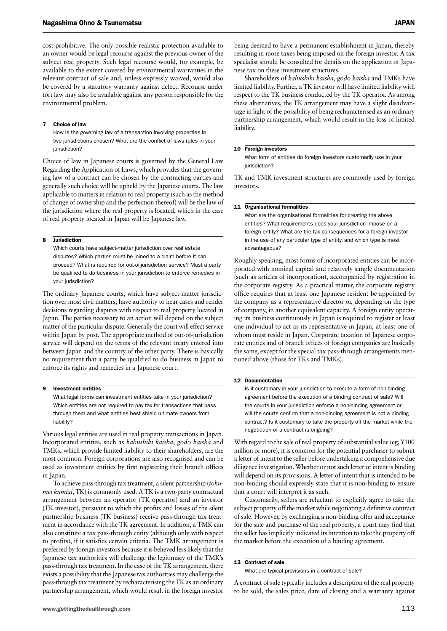cost-prohibitive. The only possible realistic protection available to an owner would be legal recourse against the previous owner of the subject real property. Such legal recourse would, for example, be available to the extent covered by environmental warranties in the relevant contract of sale and, unless expressly waived, would also be covered by a statutory warranty against defect. Recourse under tort law may also be available against any person responsible for the environmental problem.

#### 7 Choice of law

How is the governing law of a transaction involving properties in two jurisdictions chosen? What are the conflict of laws rules in your jurisdiction?

Choice of law in Japanese courts is governed by the General Law Regarding the Application of Laws, which provides that the governing law of a contract can be chosen by the contracting parties and generally such choice will be upheld by the Japanese courts. The law applicable to matters in relation to real property (such as the method of change of ownership and the perfection thereof) will be the law of the jurisdiction where the real property is located, which in the case of real property located in Japan will be Japanese law.

#### 8 Jurisdiction

Which courts have subject-matter jurisdiction over real estate disputes? Which parties must be joined to a claim before it can proceed? What is required for out-of-jurisdiction service? Must a party be qualified to do business in your jurisdiction to enforce remedies in your jurisdiction?

The ordinary Japanese courts, which have subject-matter jurisdiction over most civil matters, have authority to hear cases and render decisions regarding disputes with respect to real property located in Japan. The parties necessary to an action will depend on the subject matter of the particular dispute. Generally the court will effect service within Japan by post. The appropriate method of out-of-jurisdiction service will depend on the terms of the relevant treaty entered into between Japan and the country of the other party. There is basically no requirement that a party be qualified to do business in Japan to enforce its rights and remedies in a Japanese court.

#### 9 **Investment entities**

What legal forms can investment entities take in your jurisdiction? Which entities are not required to pay tax for transactions that pass through them and what entities best shield ultimate owners from liability?

Various legal entities are used in real property transactions in Japan. Incorporated entities, such as *kabushiki kaisha*, *godo kaisha* and TMKs, which provide limited liability to their shareholders, are the most common. Foreign corporations are also recognised and can be used as investment entities by first registering their branch offices in Japan.

To achieve pass-through tax treatment, a silent partnership (*tokumei kumiai*, TK) is commonly used. A TK is a two-party contractual arrangement between an operator (TK operator) and an investor (TK investor), pursuant to which the profits and losses of the silent partnership business (TK business) receive pass-through tax treatment in accordance with the TK agreement. In addition, a TMK can also constitute a tax pass-through entity (although only with respect to profits), if it satisfies certain criteria. The TMK arrangement is preferred by foreign investors because it is believed less likely that the Japanese tax authorities will challenge the legitimacy of the TMK's pass-through tax treatment. In the case of the TK arrangement, there exists a possibility that the Japanese tax authorities may challenge the pass-through tax treatment by recharacterising the TK as an ordinary partnership arrangement, which would result in the foreign investor being deemed to have a permanent establishment in Japan, thereby resulting in more taxes being imposed on the foreign investor. A tax specialist should be consulted for details on the application of Japanese tax on these investment structures.

Shareholders of *kabushiki kaisha*, *godo kaisha* and TMKs have limited liability. Further, a TK investor will have limited liability with respect to the TK business conducted by the TK operator. As among these alternatives, the TK arrangement may have a slight disadvantage in light of the possibility of being recharacterised as an ordinary partnership arrangement, which would result in the loss of limited liability.

#### 10 Foreign investors

What form of entities do foreign investors customarily use in your jurisdiction?

TK and TMK investment structures are commonly used by foreign investors.

#### 11 Organisational formalities

What are the organisational formalities for creating the above entities? What requirements does your jurisdiction impose on a foreign entity? What are the tax consequences for a foreign investor in the use of any particular type of entity, and which type is most advantageous?

Roughly speaking, most forms of incorporated entities can be incorporated with nominal capital and relatively simple documentation (such as articles of incorporation), accompanied by registration in the corporate registry. As a practical matter, the corporate registry office requires that at least one Japanese resident be appointed by the company as a representative director or, depending on the type of company, in another equivalent capacity. A foreign entity operating its business continuously in Japan is required to register at least one individual to act as its representative in Japan, at least one of whom must reside in Japan. Corporate taxation of Japanese corporate entities and of branch offices of foreign companies are basically the same, except for the special tax pass-through arrangements mentioned above (those for TKs and TMKs).

#### 12 Documentation

Is it customary in your jurisdiction to execute a form of non-binding agreement before the execution of a binding contract of sale? Will the courts in your jurisdiction enforce a non-binding agreement or will the courts confirm that a non-binding agreement is not a binding contract? Is it customary to take the property off the market while the negotiation of a contract is ongoing?

With regard to the sale of real property of substantial value (eg, ¥100 million or more), it is common for the potential purchaser to submit a letter of intent to the seller before undertaking a comprehensive due diligence investigation. Whether or not such letter of intent is binding will depend on its provisions. A letter of intent that is intended to be non-binding should expressly state that it is non-binding to ensure that a court will interpret it as such.

Customarily, sellers are reluctant to explicitly agree to take the subject property off the market while negotiating a definitive contract of sale. However, by exchanging a non-binding offer and acceptance for the sale and purchase of the real property, a court may find that the seller has implicitly indicated its intention to take the property off the market before the execution of a binding agreement.

#### 13 Contract of sale

What are typical provisions in a contract of sale?

A contract of sale typically includes a description of the real property to be sold, the sales price, date of closing and a warranty against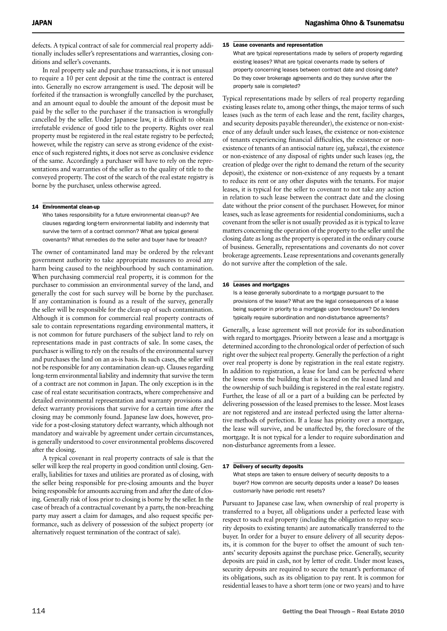defects. A typical contract of sale for commercial real property additionally includes seller's representations and warranties, closing conditions and seller's covenants.

In real property sale and purchase transactions, it is not unusual to require a 10 per cent deposit at the time the contract is entered into. Generally no escrow arrangement is used. The deposit will be forfeited if the transaction is wrongfully cancelled by the purchaser, and an amount equal to double the amount of the deposit must be paid by the seller to the purchaser if the transaction is wrongfully cancelled by the seller. Under Japanese law, it is difficult to obtain irrefutable evidence of good title to the property. Rights over real property must be registered in the real estate registry to be perfected; however, while the registry can serve as strong evidence of the existence of such registered rights, it does not serve as conclusive evidence of the same. Accordingly a purchaser will have to rely on the representations and warranties of the seller as to the quality of title to the conveyed property. The cost of the search of the real estate registry is borne by the purchaser, unless otherwise agreed.

#### 14 Environmental clean-up

Who takes responsibility for a future environmental clean-up? Are clauses regarding long-term environmental liability and indemnity that survive the term of a contract common? What are typical general covenants? What remedies do the seller and buyer have for breach?

The owner of contaminated land may be ordered by the relevant government authority to take appropriate measures to avoid any harm being caused to the neighbourhood by such contamination. When purchasing commercial real property, it is common for the purchaser to commission an environmental survey of the land, and generally the cost for such survey will be borne by the purchaser. If any contamination is found as a result of the survey, generally the seller will be responsible for the clean-up of such contamination. Although it is common for commercial real property contracts of sale to contain representations regarding environmental matters, it is not common for future purchasers of the subject land to rely on representations made in past contracts of sale. In some cases, the purchaser is willing to rely on the results of the environmental survey and purchases the land on an as-is basis. In such cases, the seller will not be responsible for any contamination clean-up. Clauses regarding long-term environmental liability and indemnity that survive the term of a contract are not common in Japan. The only exception is in the case of real estate securitisation contracts, where comprehensive and detailed environmental representation and warranty provisions and defect warranty provisions that survive for a certain time after the closing may be commonly found. Japanese law does, however, provide for a post-closing statutory defect warranty, which although not mandatory and waivable by agreement under certain circumstances, is generally understood to cover environmental problems discovered after the closing.

A typical covenant in real property contracts of sale is that the seller will keep the real property in good condition until closing. Generally, liabilities for taxes and utilities are prorated as of closing, with the seller being responsible for pre-closing amounts and the buyer being responsible for amounts accruing from and after the date of closing. Generally risk of loss prior to closing is borne by the seller. In the case of breach of a contractual covenant by a party, the non-breaching party may assert a claim for damages, and also request specific performance, such as delivery of possession of the subject property (or alternatively request termination of the contract of sale).

#### 15 Lease covenants and representation

What are typical representations made by sellers of property regarding existing leases? What are typical covenants made by sellers of property concerning leases between contract date and closing date? Do they cover brokerage agreements and do they survive after the property sale is completed?

Typical representations made by sellers of real property regarding existing leases relate to, among other things, the major terms of such leases (such as the term of each lease and the rent, facility charges, and security deposits payable thereunder), the existence or non-existence of any default under such leases, the existence or non-existence of tenants experiencing financial difficulties, the existence or nonexistence of tenants of an antisocial nature (eg, *yakuza*), the existence or non-existence of any disposal of rights under such leases (eg, the creation of pledge over the right to demand the return of the security deposit), the existence or non-existence of any requests by a tenant to reduce its rent or any other disputes with the tenants. For major leases, it is typical for the seller to covenant to not take any action in relation to such lease between the contract date and the closing date without the prior consent of the purchaser. However, for minor leases, such as lease agreements for residential condominiums, such a covenant from the seller is not usually provided as it is typical to leave matters concerning the operation of the property to the seller until the closing date as long as the property is operated in the ordinary course of business. Generally, representations and covenants do not cover brokerage agreements. Lease representations and covenants generally do not survive after the completion of the sale.

#### 16 Leases and mortgages

Is a lease generally subordinate to a mortgage pursuant to the provisions of the lease? What are the legal consequences of a lease being superior in priority to a mortgage upon foreclosure? Do lenders typically require subordination and non-disturbance agreements?

Generally, a lease agreement will not provide for its subordination with regard to mortgages. Priority between a lease and a mortgage is determined according to the chronological order of perfection of such right over the subject real property. Generally the perfection of a right over real property is done by registration in the real estate registry. In addition to registration, a lease for land can be perfected where the lessee owns the building that is located on the leased land and the ownership of such building is registered in the real estate registry. Further, the lease of all or a part of a building can be perfected by delivering possession of the leased premises to the lessee. Most leases are not registered and are instead perfected using the latter alternative methods of perfection. If a lease has priority over a mortgage, the lease will survive, and be unaffected by, the foreclosure of the mortgage. It is not typical for a lender to require subordination and non-disturbance agreements from a lessee.

#### 17 Delivery of security deposits

What steps are taken to ensure delivery of security deposits to a buyer? How common are security deposits under a lease? Do leases customarily have periodic rent resets?

Pursuant to Japanese case law, when ownership of real property is transferred to a buyer, all obligations under a perfected lease with respect to such real property (including the obligation to repay security deposits to existing tenants) are automatically transferred to the buyer. In order for a buyer to ensure delivery of all security deposits, it is common for the buyer to offset the amount of such tenants' security deposits against the purchase price. Generally, security deposits are paid in cash, not by letter of credit. Under most leases, security deposits are required to secure the tenant's performance of its obligations, such as its obligation to pay rent. It is common for residential leases to have a short term (one or two years) and to have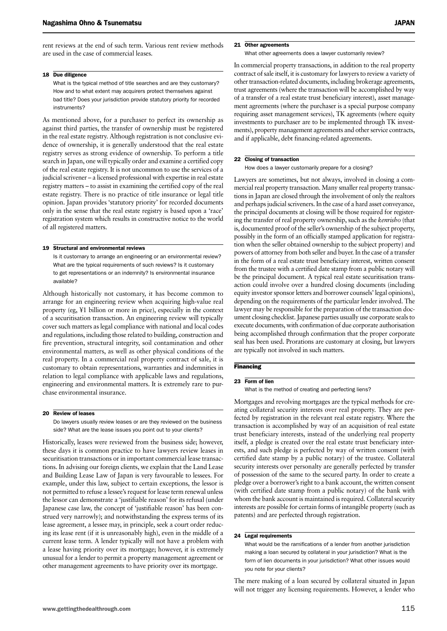#### 18 Due diligence

What is the typical method of title searches and are they customary? How and to what extent may acquirers protect themselves against bad title? Does your jurisdiction provide statutory priority for recorded instruments?

As mentioned above, for a purchaser to perfect its ownership as against third parties, the transfer of ownership must be registered in the real estate registry. Although registration is not conclusive evidence of ownership, it is generally understood that the real estate registry serves as strong evidence of ownership. To perform a title search in Japan, one will typically order and examine a certified copy of the real estate registry. It is not uncommon to use the services of a judicial scrivener – a licensed professional with expertise in real estate registry matters – to assist in examining the certified copy of the real estate registry. There is no practice of title insurance or legal title opinion. Japan provides 'statutory priority' for recorded documents only in the sense that the real estate registry is based upon a 'race' registration system which results in constructive notice to the world of all registered matters.

#### 19 Structural and environmental reviews

Is it customary to arrange an engineering or an environmental review? What are the typical requirements of such reviews? Is it customary to get representations or an indemnity? Is environmental insurance available?

Although historically not customary, it has become common to arrange for an engineering review when acquiring high-value real property (eg, ¥1 billion or more in price), especially in the context of a securitisation transaction. An engineering review will typically cover such matters as legal compliance with national and local codes and regulations, including those related to building, construction and fire prevention, structural integrity, soil contamination and other environmental matters, as well as other physical conditions of the real property. In a commercial real property contract of sale, it is customary to obtain representations, warranties and indemnities in relation to legal compliance with applicable laws and regulations, engineering and environmental matters. It is extremely rare to purchase environmental insurance.

#### 20 **Review of leases**

Do lawyers usually review leases or are they reviewed on the business side? What are the lease issues you point out to your clients?

Historically, leases were reviewed from the business side; however, these days it is common practice to have lawyers review leases in securitisation transactions or in important commercial lease transactions. In advising our foreign clients, we explain that the Land Lease and Building Lease Law of Japan is very favourable to lessees. For example, under this law, subject to certain exceptions, the lessor is not permitted to refuse a lessee's request for lease term renewal unless the lessor can demonstrate a 'justifiable reason' for its refusal (under Japanese case law, the concept of 'justifiable reason' has been construed very narrowly); and notwithstanding the express terms of its lease agreement, a lessee may, in principle, seek a court order reducing its lease rent (if it is unreasonably high), even in the middle of a current lease term. A lender typically will not have a problem with a lease having priority over its mortgage; however, it is extremely unusual for a lender to permit a property management agreement or other management agreements to have priority over its mortgage.

#### 21 Other agreements

What other agreements does a lawyer customarily review?

In commercial property transactions, in addition to the real property contract of sale itself, it is customary for lawyers to review a variety of other transaction-related documents, including brokerage agreements, trust agreements (where the transaction will be accomplished by way of a transfer of a real estate trust beneficiary interest), asset management agreements (where the purchaser is a special purpose company requiring asset management services), TK agreements (where equity investments to purchaser are to be implemented through TK investments), property management agreements and other service contracts, and if applicable, debt financing-related agreements.

#### 22 Closing of transaction

How does a lawyer customarily prepare for a closing?

Lawyers are sometimes, but not always, involved in closing a commercial real property transaction. Many smaller real property transactions in Japan are closed through the involvement of only the realtors and perhaps judicial scriveners. In the case of a hard asset conveyance, the principal documents at closing will be those required for registering the transfer of real property ownership, such as the *kenrisho* (that is, documented proof of the seller's ownership of the subject property, possibly in the form of an officially stamped application for registration when the seller obtained ownership to the subject property) and powers of attorney from both seller and buyer. In the case of a transfer in the form of a real estate trust beneficiary interest, written consent from the trustee with a certified date stamp from a public notary will be the principal document. A typical real estate securitisation transaction could involve over a hundred closing documents (including equity investor sponsor letters and borrower counsels' legal opinions), depending on the requirements of the particular lender involved. The lawyer may be responsible for the preparation of the transaction document closing checklist. Japanese parties usually use corporate seals to execute documents, with confirmation of due corporate authorisation being accomplished through confirmation that the proper corporate seal has been used. Prorations are customary at closing, but lawyers are typically not involved in such matters.

### **Financing**

#### 23 Form of lien

What is the method of creating and perfecting liens?

Mortgages and revolving mortgages are the typical methods for creating collateral security interests over real property. They are perfected by registration in the relevant real estate registry. Where the transaction is accomplished by way of an acquisition of real estate trust beneficiary interests, instead of the underlying real property itself, a pledge is created over the real estate trust beneficiary interests, and such pledge is perfected by way of written consent (with certified date stamp by a public notary) of the trustee. Collateral security interests over personalty are generally perfected by transfer of possession of the same to the secured party. In order to create a pledge over a borrower's right to a bank account, the written consent (with certified date stamp from a public notary) of the bank with whom the bank account is maintained is required. Collateral security interests are possible for certain forms of intangible property (such as patents) and are perfected through registration.

#### 24 Legal requirements

What would be the ramifications of a lender from another jurisdiction making a loan secured by collateral in your jurisdiction? What is the form of lien documents in your jurisdiction? What other issues would you note for your clients?

The mere making of a loan secured by collateral situated in Japan will not trigger any licensing requirements. However, a lender who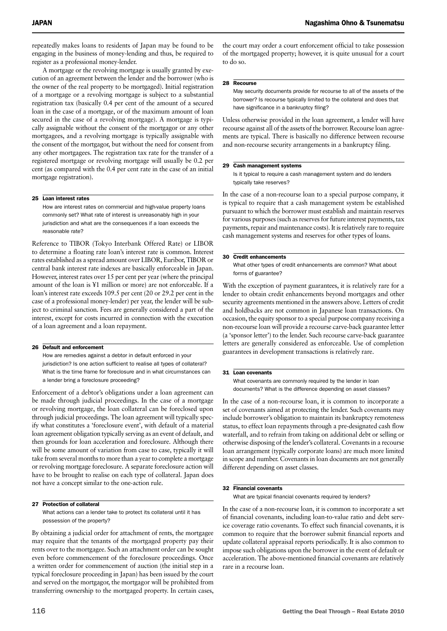repeatedly makes loans to residents of Japan may be found to be engaging in the business of money-lending and thus, be required to register as a professional money-lender.

A mortgage or the revolving mortgage is usually granted by execution of an agreement between the lender and the borrower (who is the owner of the real property to be mortgaged). Initial registration of a mortgage or a revolving mortgage is subject to a substantial registration tax (basically 0.4 per cent of the amount of a secured loan in the case of a mortgage, or of the maximum amount of loan secured in the case of a revolving mortgage). A mortgage is typically assignable without the consent of the mortgagor or any other mortgagees, and a revolving mortgage is typically assignable with the consent of the mortgagor, but without the need for consent from any other mortgagees. The registration tax rate for the transfer of a registered mortgage or revolving mortgage will usually be 0.2 per cent (as compared with the 0.4 per cent rate in the case of an initial mortgage registration).

#### 25 Loan interest rates

How are interest rates on commercial and high-value property loans commonly set? What rate of interest is unreasonably high in your jurisdiction and what are the consequences if a loan exceeds the reasonable rate?

Reference to TIBOR (Tokyo Interbank Offered Rate) or LIBOR to determine a floating rate loan's interest rate is common. Interest rates established as a spread amount over LIBOR, Euribor, TIBOR or central bank interest rate indexes are basically enforceable in Japan. However, interest rates over 15 per cent per year (where the principal amount of the loan is ¥1 million or more) are not enforceable. If a loan's interest rate exceeds 109.5 per cent (20 or 29.2 per cent in the case of a professional money-lender) per year, the lender will be subject to criminal sanction. Fees are generally considered a part of the interest, except for costs incurred in connection with the execution of a loan agreement and a loan repayment.

#### 26 Default and enforcement

How are remedies against a debtor in default enforced in your jurisdiction? Is one action sufficient to realise all types of collateral? What is the time frame for foreclosure and in what circumstances can a lender bring a foreclosure proceeding?

Enforcement of a debtor's obligations under a loan agreement can be made through judicial proceedings. In the case of a mortgage or revolving mortgage, the loan collateral can be foreclosed upon through judicial proceedings. The loan agreement will typically specify what constitutes a 'foreclosure event', with default of a material loan agreement obligation typically serving as an event of default, and then grounds for loan acceleration and foreclosure. Although there will be some amount of variation from case to case, typically it will take from several months to more than a year to complete a mortgage or revolving mortgage foreclosure. A separate foreclosure action will have to be brought to realise on each type of collateral. Japan does not have a concept similar to the one-action rule.

#### 27 Protection of collateral

What actions can a lender take to protect its collateral until it has possession of the property?

By obtaining a judicial order for attachment of rents, the mortgagee may require that the tenants of the mortgaged property pay their rents over to the mortgagee. Such an attachment order can be sought even before commencement of the foreclosure proceedings. Once a written order for commencement of auction (the initial step in a typical foreclosure proceeding in Japan) has been issued by the court and served on the mortgagor, the mortgagor will be prohibited from transferring ownership to the mortgaged property. In certain cases,

the court may order a court enforcement official to take possession of the mortgaged property; however, it is quite unusual for a court to do so.

#### 28 Recourse

May security documents provide for recourse to all of the assets of the borrower? Is recourse typically limited to the collateral and does that have significance in a bankruptcy filing?

Unless otherwise provided in the loan agreement, a lender will have recourse against all of the assets of the borrower. Recourse loan agreements are typical. There is basically no difference between recourse and non-recourse security arrangements in a bankruptcy filing.

#### 29 Cash management systems

Is it typical to require a cash management system and do lenders typically take reserves?

In the case of a non-recourse loan to a special purpose company, it is typical to require that a cash management system be established pursuant to which the borrower must establish and maintain reserves for various purposes (such as reserves for future interest payments, tax payments, repair and maintenance costs). It is relatively rare to require cash management systems and reserves for other types of loans.

#### 30 Credit enhancements

What other types of credit enhancements are common? What about forms of guarantee?

With the exception of payment guarantees, it is relatively rare for a lender to obtain credit enhancements beyond mortgages and other security agreements mentioned in the answers above. Letters of credit and holdbacks are not common in Japanese loan transactions. On occasion, the equity sponsor to a special purpose company receiving a non-recourse loan will provide a recourse carve-back guarantee letter (a 'sponsor letter') to the lender. Such recourse carve-back guarantee letters are generally considered as enforceable. Use of completion guarantees in development transactions is relatively rare.

#### 31 Loan covenants

What covenants are commonly required by the lender in loan documents? What is the difference depending on asset classes?

In the case of a non-recourse loan, it is common to incorporate a set of covenants aimed at protecting the lender. Such covenants may include borrower's obligation to maintain its bankruptcy remoteness status, to effect loan repayments through a pre-designated cash flow waterfall, and to refrain from taking on additional debt or selling or otherwise disposing of the lender's collateral. Covenants in a recourse loan arrangement (typically corporate loans) are much more limited in scope and number. Covenants in loan documents are not generally different depending on asset classes.

#### 32 Financial covenants

What are typical financial covenants required by lenders?

In the case of a non-recourse loan, it is common to incorporate a set of financial covenants, including loan-to-value ratio and debt service coverage ratio covenants. To effect such financial covenants, it is common to require that the borrower submit financial reports and update collateral appraisal reports periodically. It is also common to impose such obligations upon the borrower in the event of default or acceleration. The above-mentioned financial covenants are relatively rare in a recourse loan.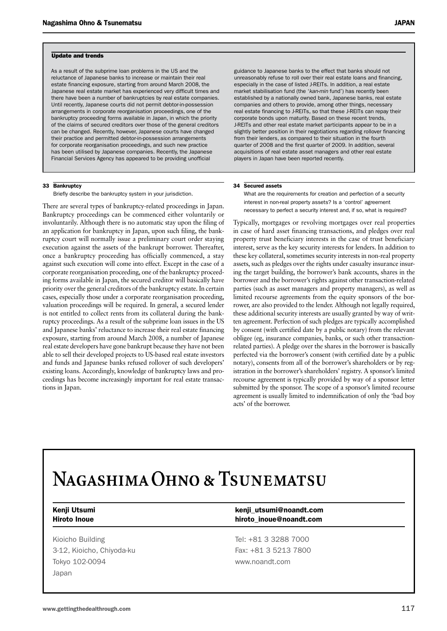#### Update and trends

As a result of the subprime loan problems in the US and the reluctance of Japanese banks to increase or maintain their real estate financing exposure, starting from around March 2008, the Japanese real estate market has experienced very difficult times and there have been a number of bankruptcies by real estate companies. Until recently, Japanese courts did not permit debtor-in-possession arrangements in corporate reorganisation proceedings, one of the bankruptcy proceeding forms available in Japan, in which the priority of the claims of secured creditors over those of the general creditors can be changed. Recently, however, Japanese courts have changed their practice and permitted debtor-in-possession arrangements for corporate reorganisation proceedings, and such new practice has been utilised by Japanese companies. Recently, the Japanese Financial Services Agency has appeared to be providing unofficial

#### 33 Bankruptcy

Briefly describe the bankruptcy system in your jurisdiction.

There are several types of bankruptcy-related proceedings in Japan. Bankruptcy proceedings can be commenced either voluntarily or involuntarily. Although there is no automatic stay upon the filing of an application for bankruptcy in Japan, upon such filing, the bankruptcy court will normally issue a preliminary court order staying execution against the assets of the bankrupt borrower. Thereafter, once a bankruptcy proceeding has officially commenced, a stay against such execution will come into effect. Except in the case of a corporate reorganisation proceeding, one of the bankruptcy proceeding forms available in Japan, the secured creditor will basically have priority over the general creditors of the bankruptcy estate. In certain cases, especially those under a corporate reorganisation proceeding, valuation proceedings will be required. In general, a secured lender is not entitled to collect rents from its collateral during the bankruptcy proceedings. As a result of the subprime loan issues in the US and Japanese banks' reluctance to increase their real estate financing exposure, starting from around March 2008, a number of Japanese real estate developers have gone bankrupt because they have not been able to sell their developed projects to US-based real estate investors and funds and Japanese banks refused rollover of such developers' existing loans. Accordingly, knowledge of bankruptcy laws and proceedings has become increasingly important for real estate transactions in Japan.

guidance to Japanese banks to the effect that banks should not unreasonably refuse to roll over their real estate loans and financing, especially in the case of listed J-REITs. In addition, a real estate market stabilisation fund (the '*kan-min* fund') has recently been established by a nationally owned bank, Japanese banks, real estate companies and others to provide, among other things, necessary real estate financing to J-REITs, so that these J-REITs can repay their corporate bonds upon maturity. Based on these recent trends, J-REITs and other real estate market participants appear to be in a slightly better position in their negotiations regarding rollover financing from their lenders, as compared to their situation in the fourth quarter of 2008 and the first quarter of 2009. In addition, several acquisitions of real estate asset managers and other real estate players in Japan have been reported recently.

#### 34 Secured assets

What are the requirements for creation and perfection of a security interest in non-real property assets? Is a 'control' agreement necessary to perfect a security interest and, if so, what is required?

Typically, mortgages or revolving mortgages over real properties in case of hard asset financing transactions, and pledges over real property trust beneficiary interests in the case of trust beneficiary interest, serve as the key security interests for lenders. In addition to these key collateral, sometimes security interests in non-real property assets, such as pledges over the rights under casualty insurance insuring the target building, the borrower's bank accounts, shares in the borrower and the borrower's rights against other transaction-related parties (such as asset managers and property managers), as well as limited recourse agreements from the equity sponsors of the borrower, are also provided to the lender. Although not legally required, these additional security interests are usually granted by way of written agreement. Perfection of such pledges are typically accomplished by consent (with certified date by a public notary) from the relevant obligee (eg, insurance companies, banks, or such other transactionrelated parties). A pledge over the shares in the borrower is basically perfected via the borrower's consent (with certified date by a public notary), consents from all of the borrower's shareholders or by registration in the borrower's shareholders' registry. A sponsor's limited recourse agreement is typically provided by way of a sponsor letter submitted by the sponsor. The scope of a sponsor's limited recourse agreement is usually limited to indemnification of only the 'bad boy acts' of the borrower.

# NAGASHIMA OHNO & TSUNEMATSU

Kioicho Building **Tel: +81 3 3288 7000** 3-12, Kioicho, Chiyoda-ku Fax: +81 3 5213 7800 Tokyo 102-0094 **WWW.noandt.com** Japan

### Kenji Utsumi **Kenji Utsumi@noandt.com** Hiroto Inoue **hiroto\_inoue@noandt.com**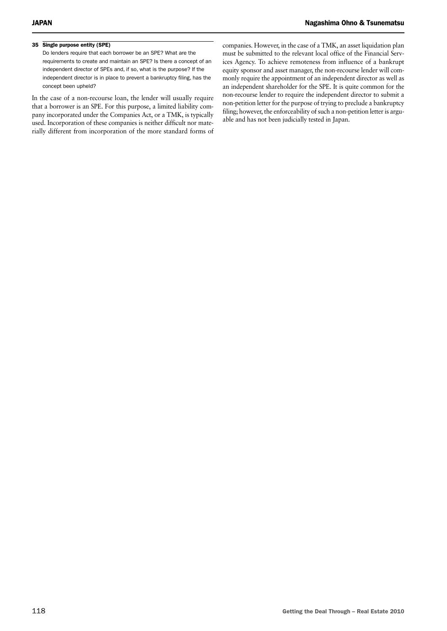## 35 Single purpose entity (SPE)

Do lenders require that each borrower be an SPE? What are the requirements to create and maintain an SPE? Is there a concept of an independent director of SPEs and, if so, what is the purpose? If the independent director is in place to prevent a bankruptcy filing, has the concept been upheld?

In the case of a non-recourse loan, the lender will usually require that a borrower is an SPE. For this purpose, a limited liability company incorporated under the Companies Act, or a TMK, is typically used. Incorporation of these companies is neither difficult nor materially different from incorporation of the more standard forms of companies. However, in the case of a TMK, an asset liquidation plan must be submitted to the relevant local office of the Financial Services Agency. To achieve remoteness from influence of a bankrupt equity sponsor and asset manager, the non-recourse lender will commonly require the appointment of an independent director as well as an independent shareholder for the SPE. It is quite common for the non-recourse lender to require the independent director to submit a non-petition letter for the purpose of trying to preclude a bankruptcy filing; however, the enforceability of such a non-petition letter is arguable and has not been judicially tested in Japan.